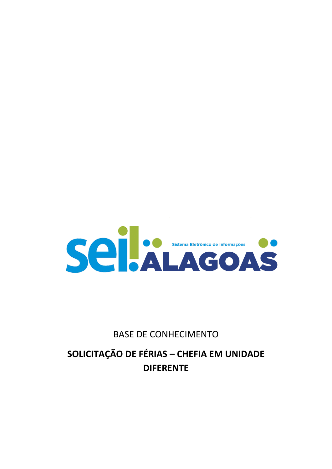

# **BASE DE CONHECIMENTO**

# **SOLICITAÇÃO DE FÉRIAS - CHEFIA EM UNIDADE DIFERENTE**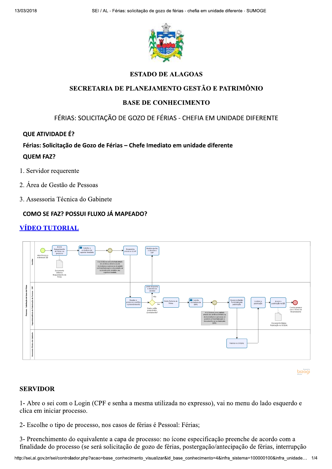

# **ESTADO DE ALAGOAS**

### SECRETARIA DE PLANEJAMENTO GESTÃO E PATRIMÔNIO

# **BASE DE CONHECIMENTO**

FÉRIAS: SOLICITAÇÃO DE GOZO DE FÉRIAS - CHEFIA EM UNIDADE DIFERENTE

# QUE ATIVIDADE É?

# Férias: Solicitação de Gozo de Férias - Chefe Imediato em unidade diferente

#### **QUEM FAZ?**

- 1. Servidor requerente
- 2. Área de Gestão de Pessoas
- 3. Assessoria Técnica do Gabinete

# **COMO SE FAZ? POSSUI FLUXO JÁ MAPEADO?**

# <u>VÍDEO TUTORIAL</u>



bizagi

# **SERVIDOR**

1- Abre o sei com o Login (CPF e senha a mesma utilizada no expresso), vai no menu do lado esquerdo e clica em iniciar processo.

2- Escolhe o tipo de processo, nos casos de férias é Pessoal: Férias;

3- Preenchimento do equivalente a capa de processo: no ícone especificação preenche de acordo com a finalidade do processo (se será solicitação de gozo de férias, postergação/antecipação de férias, interrupção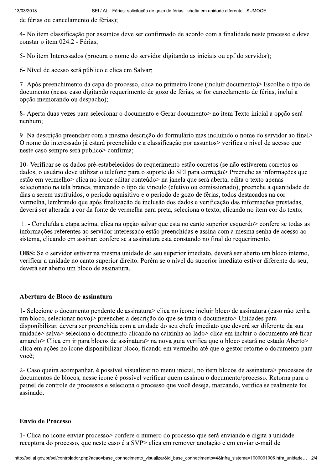de férias ou cancelamento de férias);

4- No item classificação por assuntos deve ser confirmado de acordo com a finalidade neste processo e deve constar o item 024.2 - Férias:

5- No item Interessados (procura o nome do servidor digitando as iniciais ou cpf do servidor);

6- Nível de acesso será público e clica em Salvar;

7- Após preenchimento da capa do processo, clica no primeiro ícone (incluir documento) > Escolhe o tipo de documento (nesse caso digitando requerimento de gozo de férias, se for cancelamento de férias, inclui a opção memorando ou despacho);

8- Aperta duas vezes para selecionar o documento e Gerar documento > no item Texto inicial a opção será nenhum:

9- Na descrição preencher com a mesma descrição do formulário mas incluindo o nome do servidor ao final O nome do interessado já estará preenchido e a classificação por assuntos verifica o nível de acesso que neste caso sempre será publico > confirma;

10- Verificar se os dados pré-estabelecidos do requerimento estão corretos (se não estiverem corretos os dados, o usuário deve utilizar o telefone para o suporte do SEI para correção > Preenche as informações que estão em vermelho > clica no ícone editar conteúdo > na janela que será aberta, edita o texto apenas selecionado na tela branca, marcando o tipo de vinculo (efetivo ou comissionado), preenche a quantidade de dias a serem usufruídos, o período aquisitivo e o período de gozo de férias, todos destacados na cor vermelha, lembrando que após finalização de inclusão dos dados e verificação das informações prestadas, deverá ser alterada a cor da fonte de vermelha para preta, seleciona o texto, clicando no item cor do texto;

11- Concluída a etapa acima, clica na opeão salvar que esta no canto superior esquerdo > confere se todas as informações referentes ao servidor interessado estão preenchidas e assina com a mesma senha de acesso ao sistema, clicando em assinar; confere se a assinatura esta constando no final do requerimento.

**OBS:** Se o servidor estiver na mesma unidade do seu superior imediato, deverá ser aberto um bloco interno, verificar a unidade no canto superior direito. Porém se o nível do superior imediato estiver diferente do seu, deverá ser aberto um bloco de assinatura.

# Abertura de Bloco de assinatura

1- Selecione o documento pendente de assinatura> clica no ícone incluir bloco de assinatura (caso não tenha um bloco, selecionar novo) preencher a descrição do que se trata o documento Unidades para disponibilizar, devera ser preenchida com a unidade do seu chefe imediato que deverá ser diferente da sua unidade> salva> seleciona o documento clicando na caixinha ao lado> clica em incluir o documento até ficar amarelo > Clica em ir para blocos de assinatura > na nova guia verifica que o bloco estará no estado Aberto > clica em ações no ícone disponibilizar bloco, ficando em vermelho até que o gestor retorne o documento para você:

2- Caso queira acompanhar, é possível visualizar no menu inicial, no item blocos de assinatura> processos de documentos de blocos, nesse ícone é possível verificar quem assinou o documento/processo. Retorna para o painel de controle de processos e seleciona o processo que você deseja, marcando, verifica se realmente foi assinado.

#### **Envio de Processo**

1- Clica no ícone enviar processo> confere o numero do processo que será enviando e digita a unidade receptora do processo, que neste caso é a SVP> clica em remover anotação e em enviar e-mail de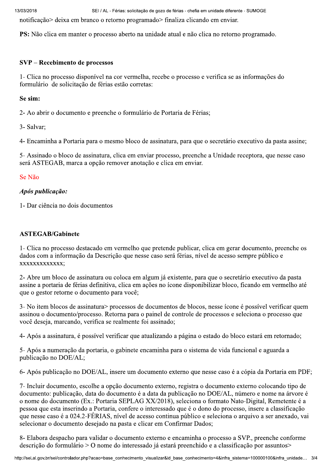SEI / AL - Férias: solicitação de gozo de férias - chefia em unidade diferente - SUMOGE

notificação > deixa em branco o retorno programado > finaliza clicando em enviar.

PS: Não clica em manter o processo aberto na unidade atual e não clica no retorno programado.

### SVP – Recebimento de processos

1- Clica no processo disponível na cor vermelha, recebe o processo e verifica se as informações do formulário de solicitação de férias estão corretas:

#### Se sim:

2- Ao abrir o documento e preenche o formulário de Portaria de Férias;

3- Salvar:

4- Encaminha a Portaria para o mesmo bloco de assinatura, para que o secretário executivo da pasta assine;

5- Assinado o bloco de assinatura, clica em enviar processo, preenche a Unidade receptora, que nesse caso será ASTEGAB, marca a opção remover anotação e clica em enviar.

#### Se Não

#### Após publicação:

1- Dar ciência no dois documentos

#### **ASTEGAB/Gabinete**

1- Clica no processo destacado em vermelho que pretende publicar, clica em gerar documento, preenche os dados com a informação da Descrição que nesse caso será férias, nível de acesso sempre público e XXXXXXXXXXXXXX

2- Abre um bloco de assinatura ou coloca em algum já existente, para que o secretário executivo da pasta assine a portaria de férias definitiva, clica em ações no ícone disponibilizar bloco, ficando em vermelho até que o gestor retorne o documento para você:

3- No item blocos de assinatura processos de documentos de blocos, nesse ícone é possível verificar quem assinou o documento/processo. Retorna para o painel de controle de processos e seleciona o processo que você deseja, marcando, verifica se realmente foi assinado;

4- Após a assinatura, é possível verificar que atualizando a página o estado do bloco estará em retornado;

5- Após a numeração da portaria, o gabinete encaminha para o sistema de vida funcional e aguarda a publicação no DOE/AL;

6- Após publicação no DOE/AL, insere um documento externo que nesse caso é a cópia da Portaria em PDF;

7- Incluir documento, escolhe a opção documento externo, registra o documento externo colocando tipo de documento: publicação, data do documento é a data da publicação no DOE/AL, número e nome na árvore é o nome do documento (Ex.: Portaria SEPLAG XX/2018), seleciona o formato Nato-Digital, Remetente é a pessoa que esta inserindo a Portaria, confere o interessado que é o dono do processo, insere a classificação que nesse caso é a 024.2-FÉRIAS, nível de acesso continua público e seleciona o arquivo a ser anexado, vai selecionar o documento desejado na pasta e clicar em Confirmar Dados:

8- Elabora despacho para validar o documento externo e encaminha o processo a SVP., preenche conforme descrição do formulário > O nome do interessado já estará preenchido e a classificação por assuntos